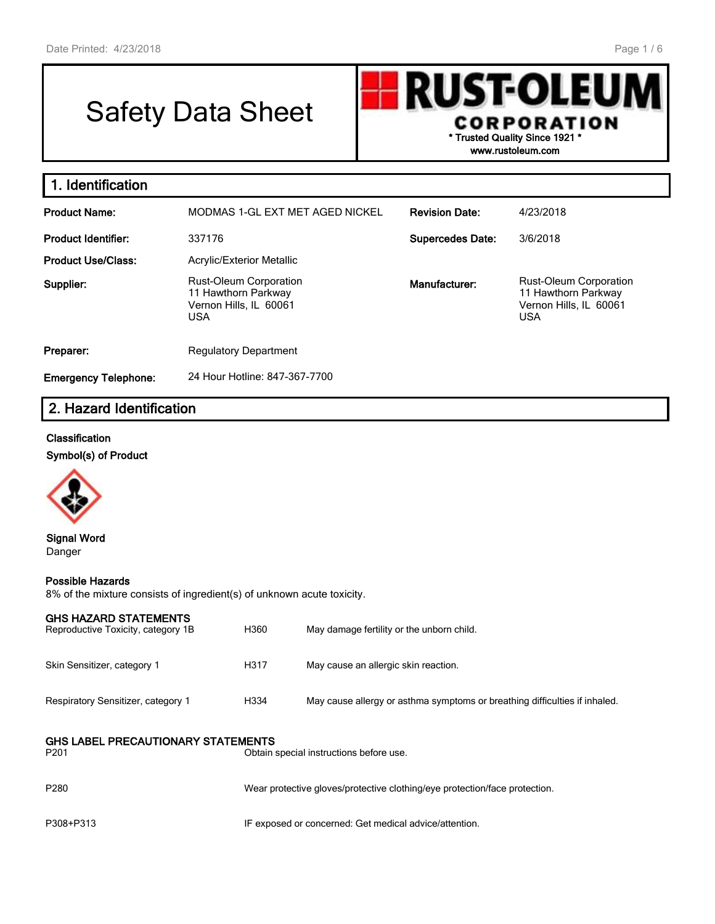# Safety Data Sheet

**RUST-OLEUN CORPORATION \* Trusted Quality Since 1921 \***

**www.rustoleum.com**

| 1. Identification           |                                                                                              |                         |                                                                                              |
|-----------------------------|----------------------------------------------------------------------------------------------|-------------------------|----------------------------------------------------------------------------------------------|
| <b>Product Name:</b>        | MODMAS 1-GL EXT MET AGED NICKEL                                                              | <b>Revision Date:</b>   | 4/23/2018                                                                                    |
| <b>Product Identifier:</b>  | 337176                                                                                       | <b>Supercedes Date:</b> | 3/6/2018                                                                                     |
| <b>Product Use/Class:</b>   | <b>Acrylic/Exterior Metallic</b>                                                             |                         |                                                                                              |
| Supplier:                   | <b>Rust-Oleum Corporation</b><br>11 Hawthorn Parkway<br>Vernon Hills, IL 60061<br><b>USA</b> | Manufacturer:           | <b>Rust-Oleum Corporation</b><br>11 Hawthorn Parkway<br>Vernon Hills, IL 60061<br><b>USA</b> |
| Preparer:                   | <b>Regulatory Department</b>                                                                 |                         |                                                                                              |
| <b>Emergency Telephone:</b> | 24 Hour Hotline: 847-367-7700                                                                |                         |                                                                                              |

# **2. Hazard Identification**

#### **Classification**

**Symbol(s) of Product**



**Signal Word** Danger

#### **Possible Hazards**

8% of the mixture consists of ingredient(s) of unknown acute toxicity.

| <b>GHS HAZARD STATEMENTS</b><br>Reproductive Toxicity, category 1B | H360 | May damage fertility or the unborn child.                                  |
|--------------------------------------------------------------------|------|----------------------------------------------------------------------------|
| Skin Sensitizer, category 1                                        | H317 | May cause an allergic skin reaction.                                       |
| Respiratory Sensitizer, category 1                                 | H334 | May cause allergy or asthma symptoms or breathing difficulties if inhaled. |
| <b>GHS LABEL PRECAUTIONARY STATEMENTS</b><br>P <sub>201</sub>      |      | Obtain special instructions before use.                                    |
| P <sub>280</sub>                                                   |      | Wear protective gloves/protective clothing/eye protection/face protection. |
| P308+P313                                                          |      | IF exposed or concerned: Get medical advice/attention.                     |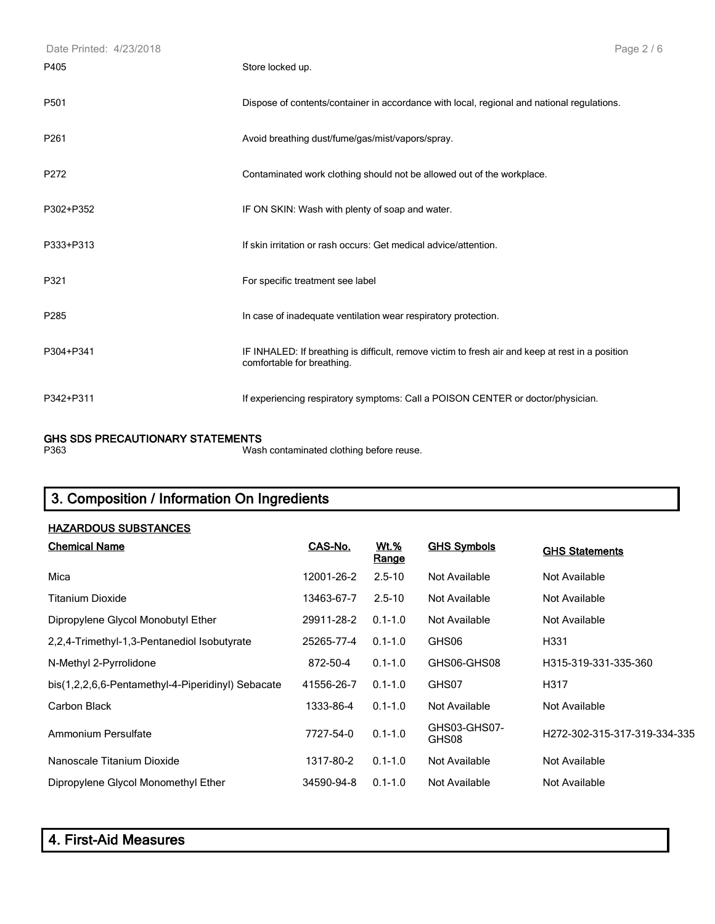| Date Printed: 4/23/2018 | Page 2/6                                                                                                                       |
|-------------------------|--------------------------------------------------------------------------------------------------------------------------------|
| P405                    | Store locked up.                                                                                                               |
| P501                    | Dispose of contents/container in accordance with local, regional and national regulations.                                     |
| P <sub>261</sub>        | Avoid breathing dust/fume/gas/mist/vapors/spray.                                                                               |
| P272                    | Contaminated work clothing should not be allowed out of the workplace.                                                         |
| P302+P352               | IF ON SKIN: Wash with plenty of soap and water.                                                                                |
| P333+P313               | If skin irritation or rash occurs: Get medical advice/attention.                                                               |
| P321                    | For specific treatment see label                                                                                               |
| P285                    | In case of inadequate ventilation wear respiratory protection.                                                                 |
| P304+P341               | IF INHALED: If breathing is difficult, remove victim to fresh air and keep at rest in a position<br>comfortable for breathing. |
| P342+P311               | If experiencing respiratory symptoms: Call a POISON CENTER or doctor/physician.                                                |

#### **GHS SDS PRECAUTIONARY STATEMENTS**

P363 Wash contaminated clothing before reuse.

# **3. Composition / Information On Ingredients**

| <b>HAZARDOUS SUBSTANCES</b>                       |            |                             |                       |                              |
|---------------------------------------------------|------------|-----------------------------|-----------------------|------------------------------|
| <b>Chemical Name</b>                              | CAS-No.    | <b>Wt.%</b><br><u>Range</u> | <b>GHS Symbols</b>    | <b>GHS Statements</b>        |
| Mica                                              | 12001-26-2 | $2.5 - 10$                  | Not Available         | Not Available                |
| <b>Titanium Dioxide</b>                           | 13463-67-7 | $2.5 - 10$                  | Not Available         | Not Available                |
| Dipropylene Glycol Monobutyl Ether                | 29911-28-2 | $0.1 - 1.0$                 | Not Available         | Not Available                |
| 2,2,4-Trimethyl-1,3-Pentanediol Isobutyrate       | 25265-77-4 | $0.1 - 1.0$                 | GHS06                 | H331                         |
| N-Methyl 2-Pyrrolidone                            | 872-50-4   | $0.1 - 1.0$                 | GHS06-GHS08           | H315-319-331-335-360         |
| bis(1,2,2,6,6-Pentamethyl-4-Piperidinyl) Sebacate | 41556-26-7 | $0.1 - 1.0$                 | GHS07                 | H317                         |
| Carbon Black                                      | 1333-86-4  | $0.1 - 1.0$                 | Not Available         | Not Available                |
| Ammonium Persulfate                               | 7727-54-0  | $0.1 - 1.0$                 | GHS03-GHS07-<br>GHS08 | H272-302-315-317-319-334-335 |
| Nanoscale Titanium Dioxide                        | 1317-80-2  | $0.1 - 1.0$                 | Not Available         | Not Available                |
| Dipropylene Glycol Monomethyl Ether               | 34590-94-8 | $0.1 - 1.0$                 | Not Available         | Not Available                |

| 4. First-Aid Measures |
|-----------------------|
|-----------------------|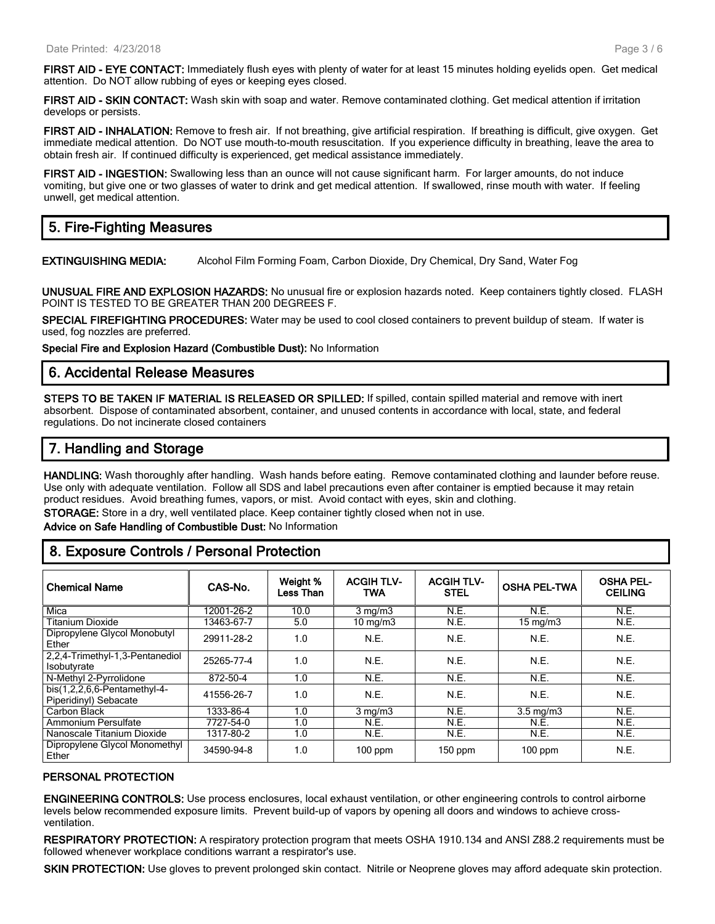**FIRST AID - EYE CONTACT:** Immediately flush eyes with plenty of water for at least 15 minutes holding eyelids open. Get medical attention. Do NOT allow rubbing of eyes or keeping eyes closed.

**FIRST AID - SKIN CONTACT:** Wash skin with soap and water. Remove contaminated clothing. Get medical attention if irritation develops or persists.

**FIRST AID - INHALATION:** Remove to fresh air. If not breathing, give artificial respiration. If breathing is difficult, give oxygen. Get immediate medical attention. Do NOT use mouth-to-mouth resuscitation. If you experience difficulty in breathing, leave the area to obtain fresh air. If continued difficulty is experienced, get medical assistance immediately.

**FIRST AID - INGESTION:** Swallowing less than an ounce will not cause significant harm. For larger amounts, do not induce vomiting, but give one or two glasses of water to drink and get medical attention. If swallowed, rinse mouth with water. If feeling unwell, get medical attention.

# **5. Fire-Fighting Measures**

**EXTINGUISHING MEDIA:** Alcohol Film Forming Foam, Carbon Dioxide, Dry Chemical, Dry Sand, Water Fog

**UNUSUAL FIRE AND EXPLOSION HAZARDS:** No unusual fire or explosion hazards noted. Keep containers tightly closed. FLASH POINT IS TESTED TO BE GREATER THAN 200 DEGREES F.

**SPECIAL FIREFIGHTING PROCEDURES:** Water may be used to cool closed containers to prevent buildup of steam. If water is used, fog nozzles are preferred.

**Special Fire and Explosion Hazard (Combustible Dust):** No Information

#### **6. Accidental Release Measures**

**STEPS TO BE TAKEN IF MATERIAL IS RELEASED OR SPILLED:** If spilled, contain spilled material and remove with inert absorbent. Dispose of contaminated absorbent, container, and unused contents in accordance with local, state, and federal regulations. Do not incinerate closed containers

# **7. Handling and Storage**

**HANDLING:** Wash thoroughly after handling. Wash hands before eating. Remove contaminated clothing and launder before reuse. Use only with adequate ventilation. Follow all SDS and label precautions even after container is emptied because it may retain product residues. Avoid breathing fumes, vapors, or mist. Avoid contact with eyes, skin and clothing.

**STORAGE:** Store in a dry, well ventilated place. Keep container tightly closed when not in use.

**Advice on Safe Handling of Combustible Dust:** No Information

# **8. Exposure Controls / Personal Protection**

| <b>Chemical Name</b>                                    | CAS-No.    | Weight %<br>Less Than | <b>ACGIH TLV-</b><br><b>TWA</b> | <b>ACGIH TLV-</b><br><b>STEL</b> | <b>OSHA PEL-TWA</b> | <b>OSHA PEL-</b><br><b>CEILING</b> |
|---------------------------------------------------------|------------|-----------------------|---------------------------------|----------------------------------|---------------------|------------------------------------|
| Mica                                                    | 12001-26-2 | 10.0                  | $3 \text{ mg/m}$                | N.E.                             | N.E.                | N.E.                               |
| <b>Titanium Dioxide</b>                                 | 13463-67-7 | 5.0                   | $10 \text{ mg/m}$               | N.E.                             | $15 \text{ mg/m}$   | N.E.                               |
| Dipropylene Glycol Monobutyl<br>Ether                   | 29911-28-2 | 1.0                   | N.E.                            | N.E.                             | N.E.                | N.E.                               |
| 2,2,4-Trimethyl-1,3-Pentanediol<br>Isobutvrate          | 25265-77-4 | 1.0                   | N.E.                            | N.E.                             | N.E.                | N.E.                               |
| N-Methyl 2-Pyrrolidone                                  | 872-50-4   | 1.0                   | N.E.                            | N.E.                             | N.E.                | N.E.                               |
| $bis(1,2,2,6,6-Pentamentyl-4-$<br>Piperidinyl) Sebacate | 41556-26-7 | 1.0                   | N.E.                            | N.E.                             | N.E.                | N.E.                               |
| Carbon Black                                            | 1333-86-4  | 1.0                   | $3$ mg/m $3$                    | N.E.                             | $3.5 \text{ mg/m}$  | N.E.                               |
| Ammonium Persulfate                                     | 7727-54-0  | 1.0                   | N.E.                            | N.E.                             | N.E.                | N.E.                               |
| Nanoscale Titanium Dioxide                              | 1317-80-2  | 1.0                   | N.E.                            | N.E.                             | N.E.                | N.E.                               |
| Dipropylene Glycol Monomethyl<br>Ether                  | 34590-94-8 | 1.0                   | $100$ ppm                       | $150$ ppm                        | $100$ ppm           | N.E.                               |

#### **PERSONAL PROTECTION**

**ENGINEERING CONTROLS:** Use process enclosures, local exhaust ventilation, or other engineering controls to control airborne levels below recommended exposure limits. Prevent build-up of vapors by opening all doors and windows to achieve crossventilation.

**RESPIRATORY PROTECTION:** A respiratory protection program that meets OSHA 1910.134 and ANSI Z88.2 requirements must be followed whenever workplace conditions warrant a respirator's use.

**SKIN PROTECTION:** Use gloves to prevent prolonged skin contact. Nitrile or Neoprene gloves may afford adequate skin protection.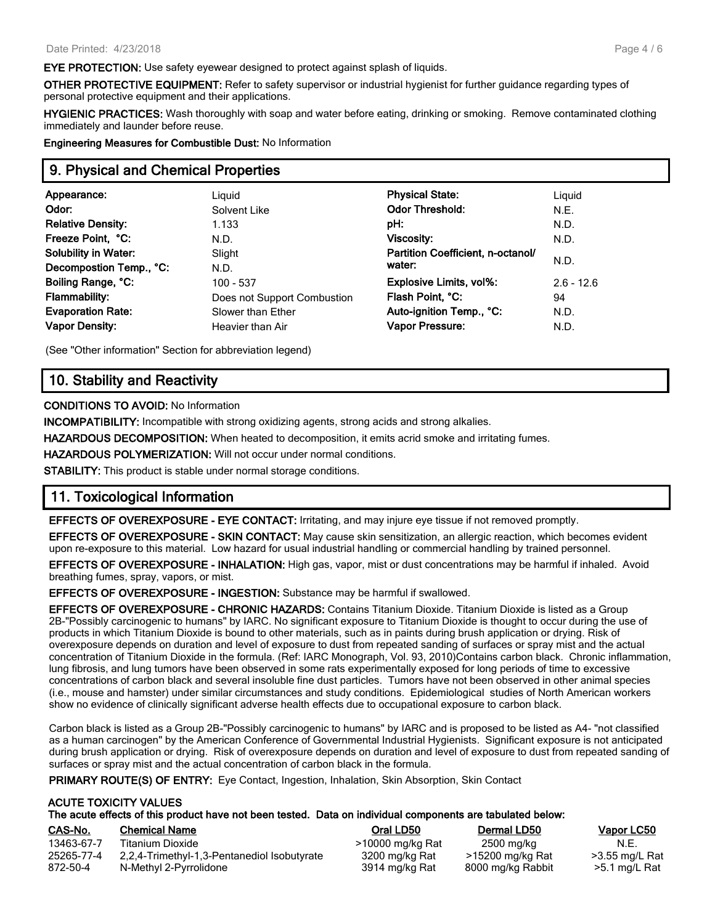**EYE PROTECTION:** Use safety eyewear designed to protect against splash of liquids.

**OTHER PROTECTIVE EQUIPMENT:** Refer to safety supervisor or industrial hygienist for further guidance regarding types of personal protective equipment and their applications.

**HYGIENIC PRACTICES:** Wash thoroughly with soap and water before eating, drinking or smoking. Remove contaminated clothing immediately and launder before reuse.

**Engineering Measures for Combustible Dust:** No Information

### **9. Physical and Chemical Properties**

| Appearance:                 | Liguid                      | <b>Physical State:</b>            | Liquid       |
|-----------------------------|-----------------------------|-----------------------------------|--------------|
| Odor:                       | Solvent Like                | <b>Odor Threshold:</b>            | N.E.         |
| <b>Relative Density:</b>    | 1.133                       | pH:                               | N.D.         |
| Freeze Point, °C:           | N.D.                        | Viscosity:                        | N.D.         |
| <b>Solubility in Water:</b> | Slight                      | Partition Coefficient, n-octanol/ |              |
| Decompostion Temp., °C:     | N.D.                        | water:                            | N.D.         |
| Boiling Range, °C:          | 100 - 537                   | Explosive Limits, vol%:           | $2.6 - 12.6$ |
| <b>Flammability:</b>        | Does not Support Combustion | Flash Point, °C:                  | 94           |
| <b>Evaporation Rate:</b>    | Slower than Ether           | Auto-ignition Temp., °C:          | N.D.         |
| <b>Vapor Density:</b>       | Heavier than Air            | <b>Vapor Pressure:</b>            | N.D.         |
|                             |                             |                                   |              |

(See "Other information" Section for abbreviation legend)

# **10. Stability and Reactivity**

#### **CONDITIONS TO AVOID:** No Information

**INCOMPATIBILITY:** Incompatible with strong oxidizing agents, strong acids and strong alkalies.

**HAZARDOUS DECOMPOSITION:** When heated to decomposition, it emits acrid smoke and irritating fumes.

**HAZARDOUS POLYMERIZATION:** Will not occur under normal conditions.

**STABILITY:** This product is stable under normal storage conditions.

# **11. Toxicological Information**

**EFFECTS OF OVEREXPOSURE - EYE CONTACT:** Irritating, and may injure eye tissue if not removed promptly.

**EFFECTS OF OVEREXPOSURE - SKIN CONTACT:** May cause skin sensitization, an allergic reaction, which becomes evident upon re-exposure to this material. Low hazard for usual industrial handling or commercial handling by trained personnel.

**EFFECTS OF OVEREXPOSURE - INHALATION:** High gas, vapor, mist or dust concentrations may be harmful if inhaled. Avoid breathing fumes, spray, vapors, or mist.

**EFFECTS OF OVEREXPOSURE - INGESTION:** Substance may be harmful if swallowed.

**EFFECTS OF OVEREXPOSURE - CHRONIC HAZARDS:** Contains Titanium Dioxide. Titanium Dioxide is listed as a Group 2B-"Possibly carcinogenic to humans" by IARC. No significant exposure to Titanium Dioxide is thought to occur during the use of products in which Titanium Dioxide is bound to other materials, such as in paints during brush application or drying. Risk of overexposure depends on duration and level of exposure to dust from repeated sanding of surfaces or spray mist and the actual concentration of Titanium Dioxide in the formula. (Ref: IARC Monograph, Vol. 93, 2010)Contains carbon black. Chronic inflammation, lung fibrosis, and lung tumors have been observed in some rats experimentally exposed for long periods of time to excessive concentrations of carbon black and several insoluble fine dust particles. Tumors have not been observed in other animal species (i.e., mouse and hamster) under similar circumstances and study conditions. Epidemiological studies of North American workers show no evidence of clinically significant adverse health effects due to occupational exposure to carbon black.

Carbon black is listed as a Group 2B-"Possibly carcinogenic to humans" by IARC and is proposed to be listed as A4- "not classified as a human carcinogen" by the American Conference of Governmental Industrial Hygienists. Significant exposure is not anticipated during brush application or drying. Risk of overexposure depends on duration and level of exposure to dust from repeated sanding of surfaces or spray mist and the actual concentration of carbon black in the formula.

**PRIMARY ROUTE(S) OF ENTRY:** Eye Contact, Ingestion, Inhalation, Skin Absorption, Skin Contact

#### **ACUTE TOXICITY VALUES The acute effects of this product have not been tested. Data on individual components are tabulated below:**

| CAS-No.    | <b>Chemical Name</b>                        | Oral LD50        | <b>Dermal LD50</b> | Vapor LC50     |
|------------|---------------------------------------------|------------------|--------------------|----------------|
| 13463-67-7 | Titanium Dioxide                            | >10000 mg/kg Rat | 2500 mg/kg         | N.E.           |
| 25265-77-4 | 2,2,4-Trimethyl-1,3-Pentanediol Isobutyrate | 3200 mg/kg Rat   | >15200 mg/kg Rat   | >3.55 mg/L Rat |
| 872-50-4   | N-Methyl 2-Pyrrolidone                      | 3914 mg/kg Rat   | 8000 mg/kg Rabbit  | >5.1 mg/L Rat  |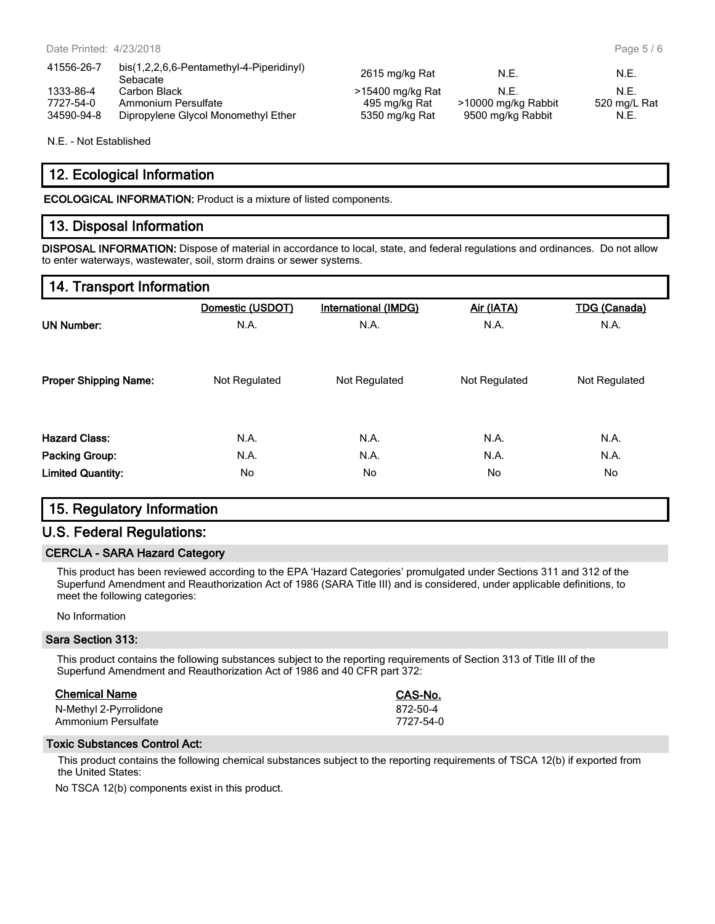N.E. - Not Established

# **12. Ecological Information**

**ECOLOGICAL INFORMATION:** Product is a mixture of listed components.

# **13. Disposal Information**

**DISPOSAL INFORMATION:** Dispose of material in accordance to local, state, and federal regulations and ordinances. Do not allow to enter waterways, wastewater, soil, storm drains or sewer systems.

# **14. Transport Information**

|                              | Domestic (USDOT) | <b>International (IMDG)</b> | Air (IATA)    | <b>TDG (Canada)</b> |
|------------------------------|------------------|-----------------------------|---------------|---------------------|
| <b>UN Number:</b>            | N.A.             | N.A.                        | N.A.          | N.A.                |
| <b>Proper Shipping Name:</b> | Not Regulated    | Not Regulated               | Not Regulated | Not Regulated       |
| <b>Hazard Class:</b>         | N.A.             | N.A.                        | N.A.          | N.A.                |
| <b>Packing Group:</b>        | N.A.             | N.A.                        | N.A.          | N.A.                |
| <b>Limited Quantity:</b>     | No               | No                          | No            | No                  |

# **15. Regulatory Information**

# **U.S. Federal Regulations:**

#### **CERCLA - SARA Hazard Category**

This product has been reviewed according to the EPA 'Hazard Categories' promulgated under Sections 311 and 312 of the Superfund Amendment and Reauthorization Act of 1986 (SARA Title III) and is considered, under applicable definitions, to meet the following categories:

No Information

#### **Sara Section 313:**

This product contains the following substances subject to the reporting requirements of Section 313 of Title III of the Superfund Amendment and Reauthorization Act of 1986 and 40 CFR part 372:

| <b>Chemical Name</b>   | CAS-No.   |
|------------------------|-----------|
| N-Methyl 2-Pyrrolidone | 872-50-4  |
| Ammonium Persulfate    | 7727-54-0 |

#### **Toxic Substances Control Act:**

This product contains the following chemical substances subject to the reporting requirements of TSCA 12(b) if exported from the United States:

No TSCA 12(b) components exist in this product.